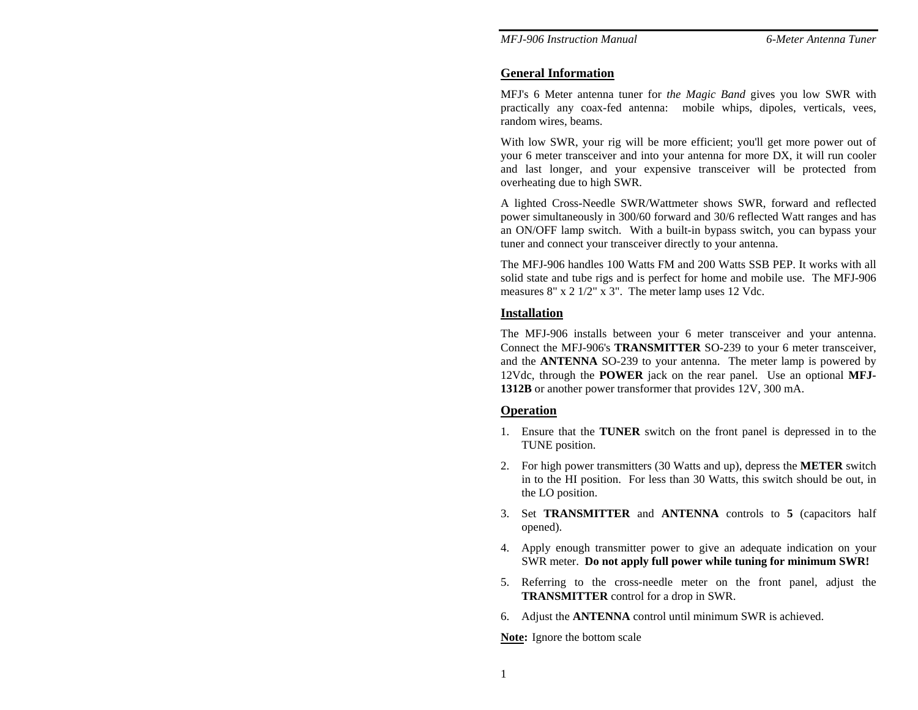*MFJ-906 Instruction Manual 6-Meter Antenna Tuner* 

### **General Information**

MFJ's 6 Meter antenna tuner for *the Magic Band* gives you low SWR with practically any coax-fed antenna: mobile whips, dipoles, verticals, vees, random wires, beams.

With low SWR, your rig will be more efficient; you'll get more power out of your 6 meter transceiver and into your antenna for more DX, it will run cooler and last longer, and your expensive transceiver will be protected from overheating due to high SWR.

A lighted Cross-Needle SWR/Wattmeter shows SWR, forward and reflected power simultaneously in 300/60 forward and 30/6 reflected Watt ranges and has an ON/OFF lamp switch. With a built-in bypass switch, you can bypass your tuner and connect your transceiver directly to your antenna.

The MFJ-906 handles 100 Watts FM and 200 Watts SSB PEP. It works with all solid state and tube rigs and is perfect for home and mobile use. The MFJ-906 measures 8" x 2 1/2" x 3". The meter lamp uses 12 Vdc.

### **Installation**

The MFJ-906 installs between your 6 meter transceiver and your antenna. Connect the MFJ-906's **TRANSMITTER** SO-239 to your 6 meter transceiver, and the **ANTENNA** SO-239 to your antenna. The meter lamp is powered by 12Vdc, through the **POWER** jack on the rear panel. Use an optional **MFJ-1312B** or another power transformer that provides 12V, 300 mA.

### **Operation**

- 1. Ensure that the **TUNER** switch on the front panel is depressed in to the TUNE position.
- 2. For high power transmitters (30 Watts and up), depress the **METER** switch in to the HI position. For less than 30 Watts, this switch should be out, in the LO position.
- 3. Set **TRANSMITTER** and **ANTENNA** controls to **5** (capacitors half opened).
- 4. Apply enough transmitter power to give an adequate indication on your SWR meter. **Do not apply full power while tuning for minimum SWR!**
- 5. Referring to the cross-needle meter on the front panel, adjust the **TRANSMITTER** control for a drop in SWR.
- 6. Adjust the **ANTENNA** control until minimum SWR is achieved.

**Note:** Ignore the bottom scale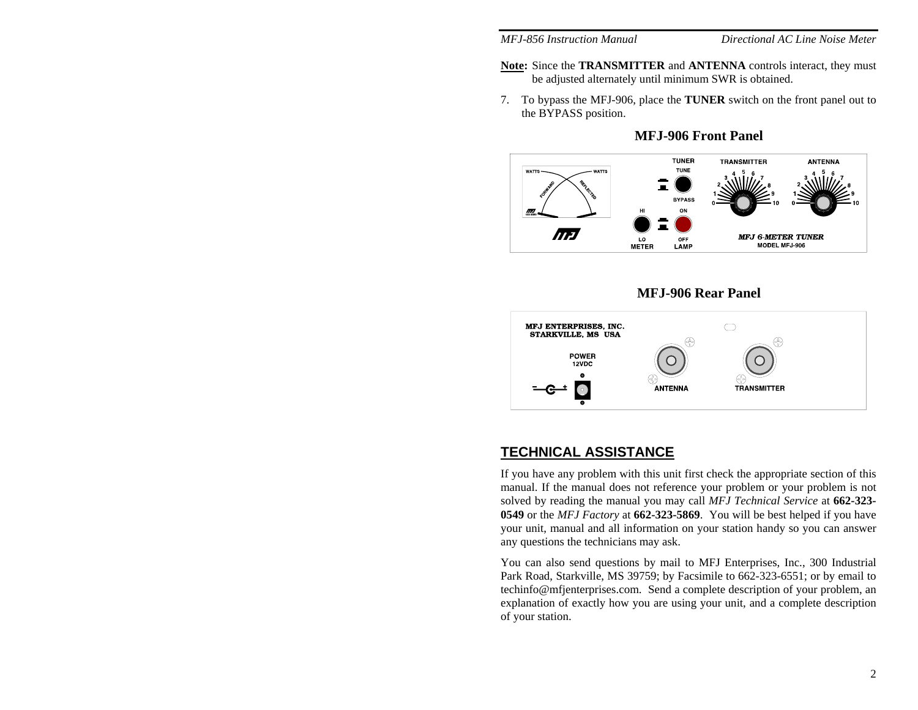- **Note:** Since the **TRANSMITTER** and **ANTENNA** controls interact, they must be adjusted alternately until minimum SWR is obtained.
- 7. To bypass the MFJ-906, place the **TUNER** switch on the front panel out to the BYPASS position.

**MFJ-906 Front Panel** 







### **TECHNICAL ASSISTANCE**

If you have any problem with this unit first check the appropriate section of this manual. If the manual does not reference your problem or your problem is not solved by reading the manual you may call *MFJ Technical Service* at **662-323- 0549** or the *MFJ Factory* at **662-323-5869**. You will be best helped if you have your unit, manual and all information on your station handy so you can answer any questions the technicians may ask.

You can also send questions by mail to MFJ Enterprises, Inc., 300 Industrial Park Road, Starkville, MS 39759; by Facsimile to 662-323-6551; or by email to techinfo@mfjenterprises.com. Send a complete description of your problem, an explanation of exactly how you are using your unit, and a complete description of your station.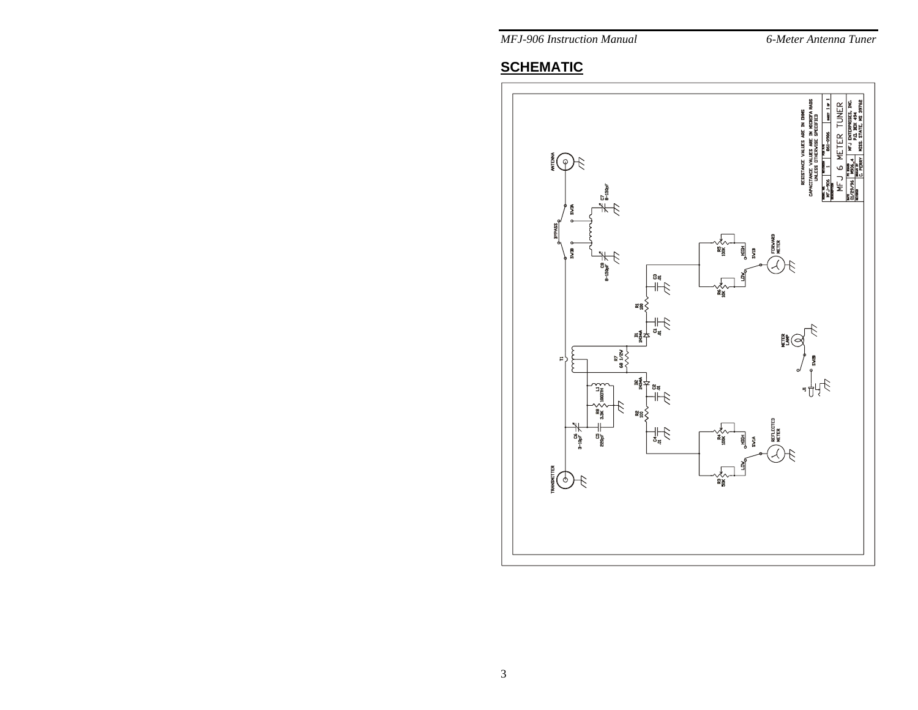*MFJ-906 Instruction Manual* 

### 6-Meter Antenna Tuner

# **SCHEMATIC**

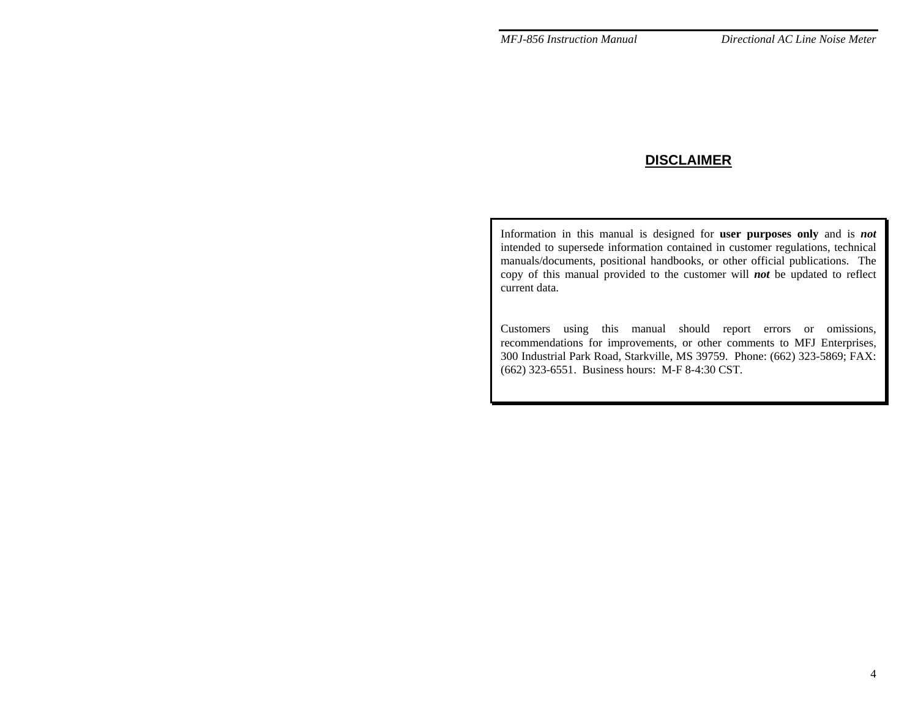## **DISCLAIMER**

Information in this manual is designed for **user purposes only** and is *not* intended to supersede information contained in customer regulations, technical manuals/documents, positional handbooks, or other official publications. The copy of this manual provided to the customer will *not* be updated to reflect current data.

Customers using this manual should report errors or omissions, recommendations for improvements, or other comments to MFJ Enterprises, 300 Industrial Park Road, Starkville, MS 39759. Phone: (662) 323-5869; FAX: (662) 323-6551. Business hours: M-F 8-4:30 CST.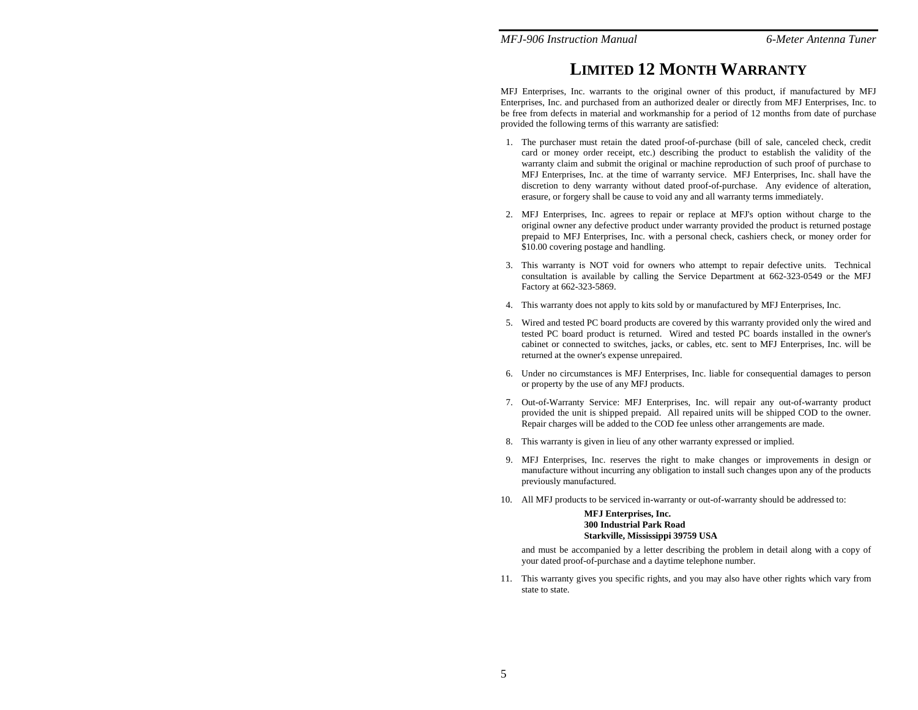### *MFJ-906 Instruction Manual 6-Meter Antenna Tuner*

# **LIMITED 12 MONTH WARRANTY**

MFJ Enterprises, Inc. warrants to the original owner of this product, if manufactured by MFJ Enterprises, Inc. and purchased from an authorized dealer or directly from MFJ Enterprises, Inc. to be free from defects in material and workmanship for a period of 12 months from date of purchase provided the following terms of this warranty are satisfied:

- 1. The purchaser must retain the dated proof-of-purchase (bill of sale, canceled check, credit card or money order receipt, etc.) describing the product to establish the validity of the warranty claim and submit the original or machine reproduction of such proof of purchase to MFJ Enterprises, Inc. at the time of warranty service. MFJ Enterprises, Inc. shall have the discretion to deny warranty without dated proof-of-purchase. Any evidence of alteration, erasure, or forgery shall be cause to void any and all warranty terms immediately.
- 2. MFJ Enterprises, Inc. agrees to repair or replace at MFJ's option without charge to the original owner any defective product under warranty provided the product is returned postage prepaid to MFJ Enterprises, Inc. with a personal check, cashiers check, or money order for \$10.00 covering postage and handling.
- 3. This warranty is NOT void for owners who attempt to repair defective units. Technical consultation is available by calling the Service Department at 662-323-0549 or the MFJ Factory at 662-323-5869.
- 4. This warranty does not apply to kits sold by or manufactured by MFJ Enterprises, Inc.
- 5. Wired and tested PC board products are covered by this warranty provided only the wired and tested PC board product is returned. Wired and tested PC boards installed in the owner's cabinet or connected to switches, jacks, or cables, etc. sent to MFJ Enterprises, Inc. will be returned at the owner's expense unrepaired.
- 6. Under no circumstances is MFJ Enterprises, Inc. liable for consequential damages to person or property by the use of any MFJ products.
- 7. Out-of-Warranty Service: MFJ Enterprises, Inc. will repair any out-of-warranty product provided the unit is shipped prepaid. All repaired units will be shipped COD to the owner. Repair charges will be added to the COD fee unless other arrangements are made.
- 8. This warranty is given in lieu of any other warranty expressed or implied.
- 9. MFJ Enterprises, Inc. reserves the right to make changes or improvements in design or manufacture without incurring any obligation to install such changes upon any of the products previously manufactured.
- 10. All MFJ products to be serviced in-warranty or out-of-warranty should be addressed to:

### **MFJ Enterprises, Inc. 300 Industrial Park RoadStarkville, Mississippi 39759 USA**

and must be accompanied by a letter describing the problem in detail along with a copy of your dated proof-of-purchase and a daytime telephone number.

11. This warranty gives you specific rights, and you may also have other rights which vary from state to state.